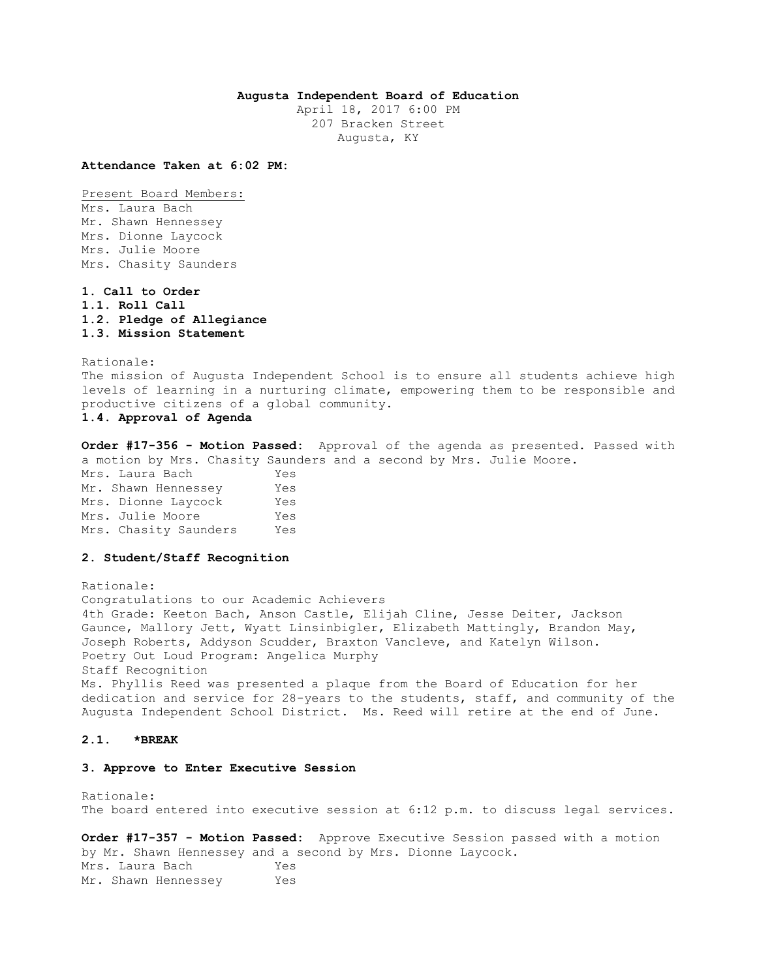# **Augusta Independent Board of Education**

April 18, 2017 6:00 PM 207 Bracken Street Augusta, KY

**Attendance Taken at 6:02 PM:**

Present Board Members: Mrs. Laura Bach Mr. Shawn Hennessey Mrs. Dionne Laycock Mrs. Julie Moore Mrs. Chasity Saunders

**1. Call to Order 1.1. Roll Call 1.2. Pledge of Allegiance 1.3. Mission Statement** 

Rationale: The mission of Augusta Independent School is to ensure all students achieve high levels of learning in a nurturing climate, empowering them to be responsible and productive citizens of a global community. **1.4. Approval of Agenda** 

**Order #17-356 - Motion Passed:** Approval of the agenda as presented. Passed with a motion by Mrs. Chasity Saunders and a second by Mrs. Julie Moore.

Mrs. Laura Bach Yes Mr. Shawn Hennessey Yes Mrs. Dionne Laycock Yes Mrs. Julie Moore Yes Mrs. Chasity Saunders Yes

# **2. Student/Staff Recognition**

Rationale: Congratulations to our Academic Achievers 4th Grade: Keeton Bach, Anson Castle, Elijah Cline, Jesse Deiter, Jackson Gaunce, Mallory Jett, Wyatt Linsinbigler, Elizabeth Mattingly, Brandon May, Joseph Roberts, Addyson Scudder, Braxton Vancleve, and Katelyn Wilson. Poetry Out Loud Program: Angelica Murphy Staff Recognition Ms. Phyllis Reed was presented a plaque from the Board of Education for her dedication and service for 28-years to the students, staff, and community of the Augusta Independent School District. Ms. Reed will retire at the end of June.

# **2.1. \*BREAK**

### **3. Approve to Enter Executive Session**

Rationale: The board entered into executive session at 6:12 p.m. to discuss legal services.

**Order #17-357 - Motion Passed:** Approve Executive Session passed with a motion by Mr. Shawn Hennessey and a second by Mrs. Dionne Laycock. Mrs. Laura Bach Yes Mr. Shawn Hennessey Yes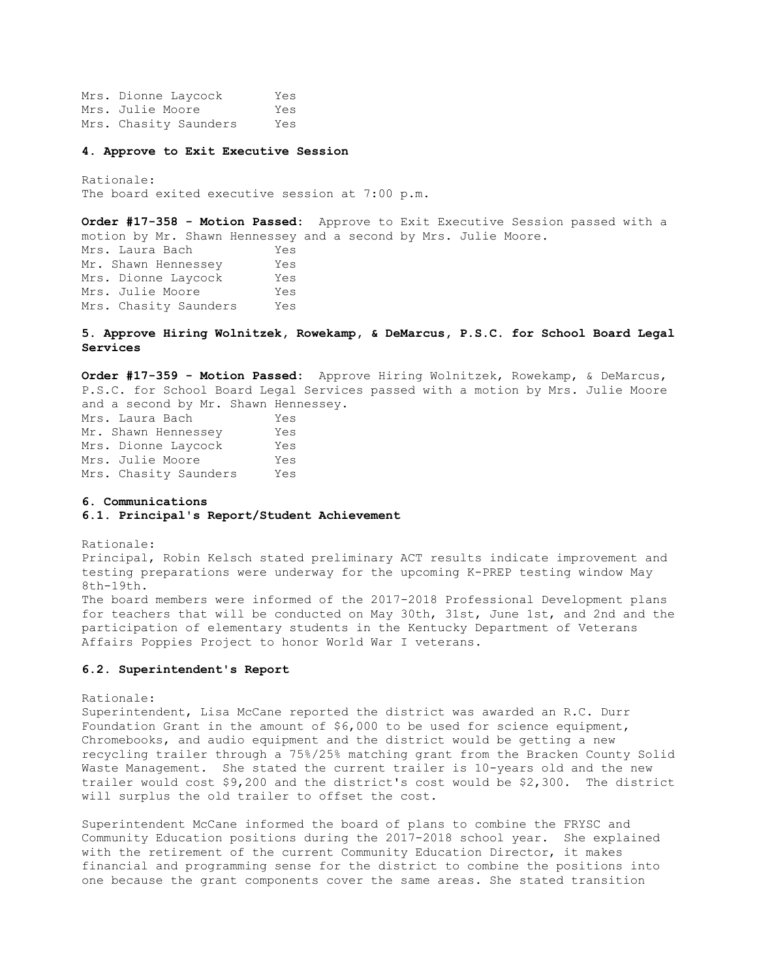Mrs. Dionne Laycock Yes Mrs. Julie Moore Yes Mrs. Chasity Saunders Yes

#### **4. Approve to Exit Executive Session**

Rationale: The board exited executive session at 7:00 p.m.

**Order #17-358 - Motion Passed:** Approve to Exit Executive Session passed with a motion by Mr. Shawn Hennessey and a second by Mrs. Julie Moore. Mrs. Laura Bach Yes Mr. Shawn Hennessey Yes Mrs. Dionne Laycock Yes Mrs. Julie Moore Yes Mrs. Chasity Saunders Yes

### **5. Approve Hiring Wolnitzek, Rowekamp, & DeMarcus, P.S.C. for School Board Legal Services**

**Order #17-359 - Motion Passed:** Approve Hiring Wolnitzek, Rowekamp, & DeMarcus, P.S.C. for School Board Legal Services passed with a motion by Mrs. Julie Moore and a second by Mr. Shawn Hennessey. Mrs. Laura Bach Yes Mr. Shawn Hennessey Yes Mrs. Dionne Laycock Yes

Mrs. Julie Moore Yes Mrs. Chasity Saunders Yes

#### **6. Communications**

#### **6.1. Principal's Report/Student Achievement**

Rationale: Principal, Robin Kelsch stated preliminary ACT results indicate improvement and testing preparations were underway for the upcoming K-PREP testing window May 8th-19th. The board members were informed of the 2017-2018 Professional Development plans for teachers that will be conducted on May 30th, 31st, June 1st, and 2nd and the participation of elementary students in the Kentucky Department of Veterans Affairs Poppies Project to honor World War I veterans.

# **6.2. Superintendent's Report**

#### Rationale:

Superintendent, Lisa McCane reported the district was awarded an R.C. Durr Foundation Grant in the amount of \$6,000 to be used for science equipment, Chromebooks, and audio equipment and the district would be getting a new recycling trailer through a 75%/25% matching grant from the Bracken County Solid Waste Management. She stated the current trailer is 10-years old and the new trailer would cost \$9,200 and the district's cost would be \$2,300. The district will surplus the old trailer to offset the cost.

Superintendent McCane informed the board of plans to combine the FRYSC and Community Education positions during the 2017-2018 school year. She explained with the retirement of the current Community Education Director, it makes financial and programming sense for the district to combine the positions into one because the grant components cover the same areas. She stated transition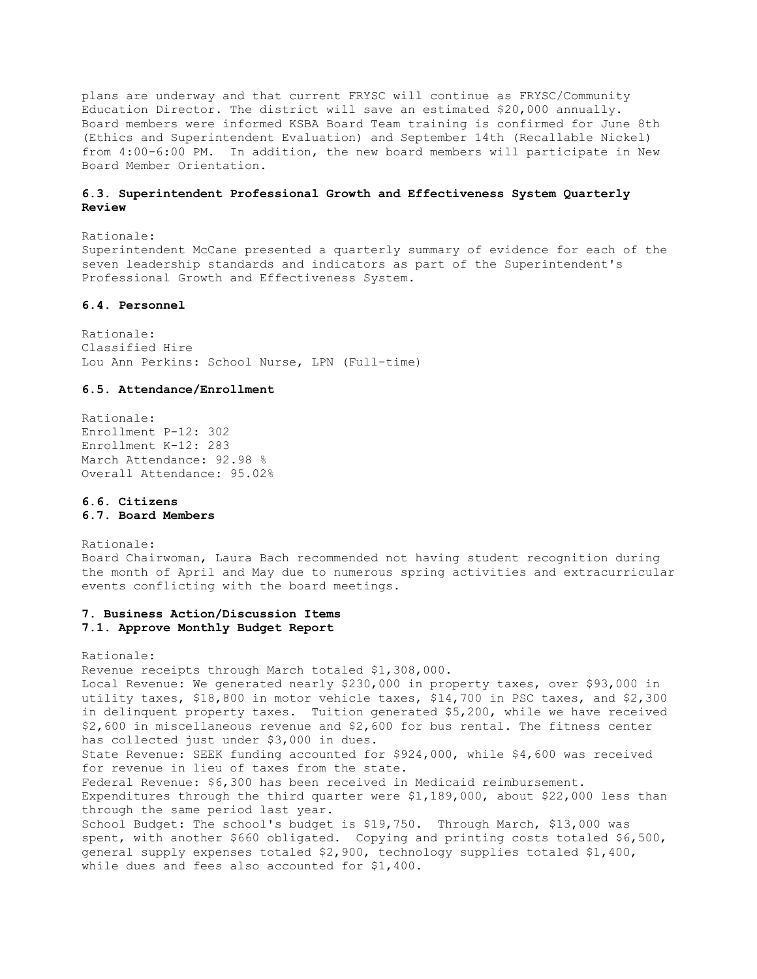plans are underway and that current FRYSC will continue as FRYSC/Community Education Director. The district will save an estimated \$20,000 annually. Board members were informed KSBA Board Team training is confirmed for June 8th (Ethics and Superintendent Evaluation) and September 14th (Recallable Nickel) from 4:00-6:00 PM. In addition, the new board members will participate in New Board Member Orientation.

# **6.3. Superintendent Professional Growth and Effectiveness System Quarterly Review**

Rationale: Superintendent McCane presented a quarterly summary of evidence for each of the seven leadership standards and indicators as part of the Superintendent's Professional Growth and Effectiveness System.

### **6.4. Personnel**

Rationale: Classified Hire Lou Ann Perkins: School Nurse, LPN (Full-time)

### **6.5. Attendance/Enrollment**

Rationale: Enrollment P-12: 302 Enrollment K-12: 283 March Attendance: 92.98 % Overall Attendance: 95.02%

#### **6.6. Citizens 6.7. Board Members**

Rationale: Board Chairwoman, Laura Bach recommended not having student recognition during the month of April and May due to numerous spring activities and extracurricular events conflicting with the board meetings.

### **7. Business Action/Discussion Items 7.1. Approve Monthly Budget Report**

Rationale: Revenue receipts through March totaled \$1,308,000. Local Revenue: We generated nearly \$230,000 in property taxes, over \$93,000 in utility taxes, \$18,800 in motor vehicle taxes, \$14,700 in PSC taxes, and \$2,300 in delinquent property taxes. Tuition generated \$5,200, while we have received \$2,600 in miscellaneous revenue and \$2,600 for bus rental. The fitness center has collected just under \$3,000 in dues. State Revenue: SEEK funding accounted for \$924,000, while \$4,600 was received for revenue in lieu of taxes from the state. Federal Revenue: \$6,300 has been received in Medicaid reimbursement. Expenditures through the third quarter were \$1,189,000, about \$22,000 less than through the same period last year. School Budget: The school's budget is \$19,750. Through March, \$13,000 was spent, with another \$660 obligated. Copying and printing costs totaled \$6,500, general supply expenses totaled \$2,900, technology supplies totaled \$1,400, while dues and fees also accounted for \$1,400.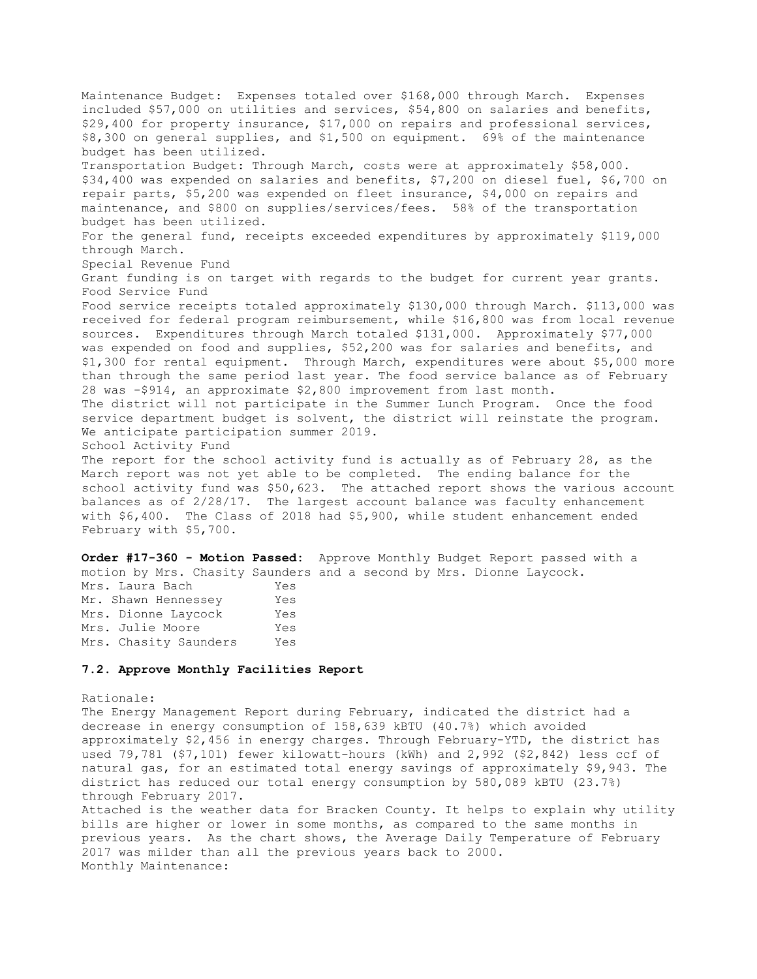Maintenance Budget: Expenses totaled over \$168,000 through March. Expenses included \$57,000 on utilities and services, \$54,800 on salaries and benefits, \$29,400 for property insurance, \$17,000 on repairs and professional services, \$8,300 on general supplies, and \$1,500 on equipment. 69% of the maintenance budget has been utilized. Transportation Budget: Through March, costs were at approximately \$58,000. \$34,400 was expended on salaries and benefits, \$7,200 on diesel fuel, \$6,700 on repair parts, \$5,200 was expended on fleet insurance, \$4,000 on repairs and maintenance, and \$800 on supplies/services/fees. 58% of the transportation budget has been utilized. For the general fund, receipts exceeded expenditures by approximately \$119,000 through March. Special Revenue Fund Grant funding is on target with regards to the budget for current year grants. Food Service Fund Food service receipts totaled approximately \$130,000 through March. \$113,000 was received for federal program reimbursement, while \$16,800 was from local revenue sources. Expenditures through March totaled \$131,000. Approximately \$77,000 was expended on food and supplies, \$52,200 was for salaries and benefits, and \$1,300 for rental equipment. Through March, expenditures were about \$5,000 more than through the same period last year. The food service balance as of February 28 was -\$914, an approximate \$2,800 improvement from last month. The district will not participate in the Summer Lunch Program. Once the food service department budget is solvent, the district will reinstate the program. We anticipate participation summer 2019. School Activity Fund The report for the school activity fund is actually as of February 28, as the March report was not yet able to be completed. The ending balance for the school activity fund was \$50,623. The attached report shows the various account balances as of 2/28/17. The largest account balance was faculty enhancement with \$6,400. The Class of 2018 had \$5,900, while student enhancement ended

February with \$5,700.

**Order #17-360 - Motion Passed:** Approve Monthly Budget Report passed with a motion by Mrs. Chasity Saunders and a second by Mrs. Dionne Laycock. Mrs. Laura Bach Yes

| -----------           |     |
|-----------------------|-----|
| Mr. Shawn Hennessey   | Yes |
| Mrs. Dionne Lavcock   | Yes |
| Mrs. Julie Moore      | Yes |
| Mrs. Chasity Saunders | Yes |

#### **7.2. Approve Monthly Facilities Report**

#### Rationale:

The Energy Management Report during February, indicated the district had a decrease in energy consumption of 158,639 kBTU (40.7%) which avoided approximately \$2,456 in energy charges. Through February-YTD, the district has used 79,781 (\$7,101) fewer kilowatt-hours (kWh) and 2,992 (\$2,842) less ccf of natural gas, for an estimated total energy savings of approximately \$9,943. The district has reduced our total energy consumption by 580,089 kBTU (23.7%) through February 2017.

Attached is the weather data for Bracken County. It helps to explain why utility bills are higher or lower in some months, as compared to the same months in previous years. As the chart shows, the Average Daily Temperature of February 2017 was milder than all the previous years back to 2000. Monthly Maintenance: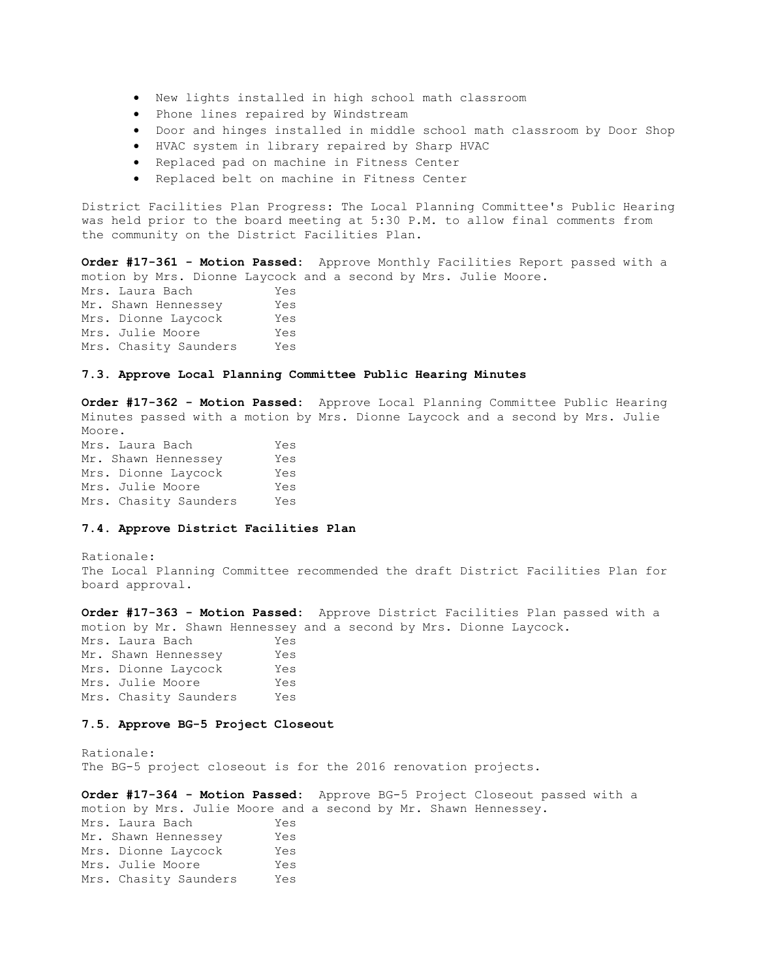- New lights installed in high school math classroom
- Phone lines repaired by Windstream
- Door and hinges installed in middle school math classroom by Door Shop
- HVAC system in library repaired by Sharp HVAC
- Replaced pad on machine in Fitness Center
- Replaced belt on machine in Fitness Center

District Facilities Plan Progress: The Local Planning Committee's Public Hearing was held prior to the board meeting at 5:30 P.M. to allow final comments from the community on the District Facilities Plan.

**Order #17-361 - Motion Passed:** Approve Monthly Facilities Report passed with a motion by Mrs. Dionne Laycock and a second by Mrs. Julie Moore.

Mrs. Laura Bach Yes Mr. Shawn Hennessey Yes Mrs. Dionne Laycock Yes Mrs. Julie Moore Yes Mrs. Chasity Saunders Yes

# **7.3. Approve Local Planning Committee Public Hearing Minutes**

**Order #17-362 - Motion Passed:** Approve Local Planning Committee Public Hearing Minutes passed with a motion by Mrs. Dionne Laycock and a second by Mrs. Julie Moore. Mrs. Laura Bach Yes Mr. Shawn Hennessey Yes Mrs. Dionne Laycock Yes Mrs. Julie Moore Yes Mrs. Chasity Saunders Yes

### **7.4. Approve District Facilities Plan**

Rationale: The Local Planning Committee recommended the draft District Facilities Plan for board approval.

**Order #17-363 - Motion Passed:** Approve District Facilities Plan passed with a motion by Mr. Shawn Hennessey and a second by Mrs. Dionne Laycock. Mrs. Laura Bach Yes Mr. Shawn Hennessey Yes Mrs. Dionne Laycock Yes Mrs. Julie Moore Yes Mrs. Chasity Saunders Yes

#### **7.5. Approve BG-5 Project Closeout**

Rationale: The BG-5 project closeout is for the 2016 renovation projects.

**Order #17-364 - Motion Passed:** Approve BG-5 Project Closeout passed with a motion by Mrs. Julie Moore and a second by Mr. Shawn Hennessey. Mrs. Laura Bach Yes Mr. Shawn Hennessey Yes Mrs. Dionne Laycock Yes Mrs. Julie Moore Yes Mrs. Chasity Saunders Yes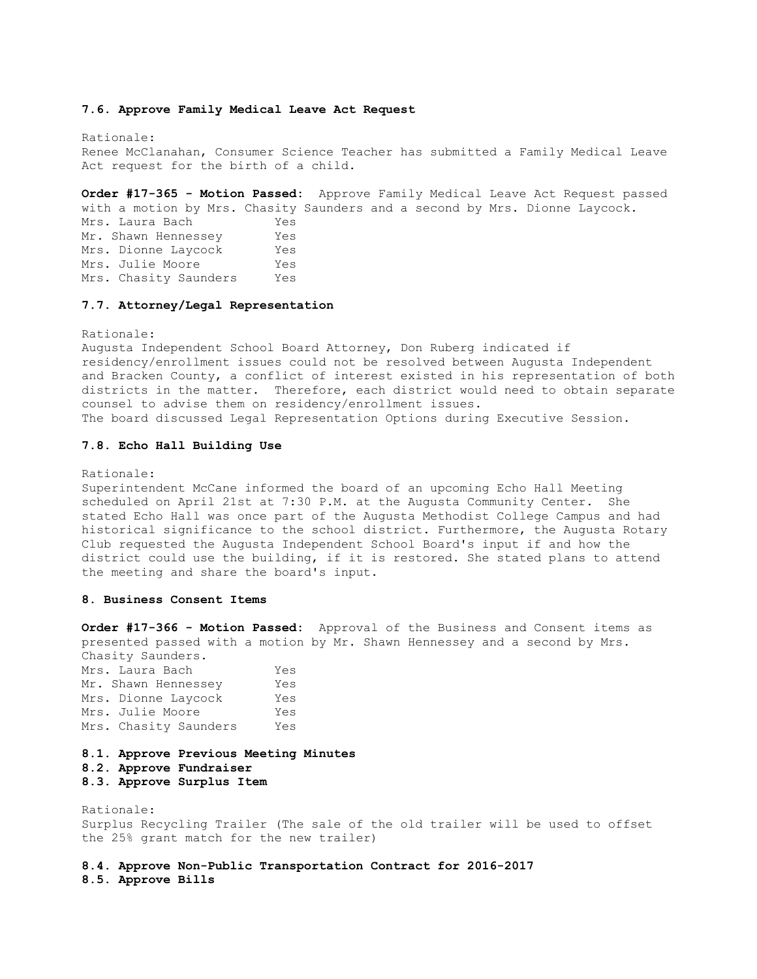#### **7.6. Approve Family Medical Leave Act Request**

Rationale: Renee McClanahan, Consumer Science Teacher has submitted a Family Medical Leave Act request for the birth of a child.

**Order #17-365 - Motion Passed:** Approve Family Medical Leave Act Request passed with a motion by Mrs. Chasity Saunders and a second by Mrs. Dionne Laycock. Mrs. Laura Bach Yes Mr. Shawn Hennessey Yes Mrs. Dionne Laycock Yes Mrs. Julie Moore Yes Mrs. Chasity Saunders Yes

### **7.7. Attorney/Legal Representation**

Rationale:

Augusta Independent School Board Attorney, Don Ruberg indicated if residency/enrollment issues could not be resolved between Augusta Independent and Bracken County, a conflict of interest existed in his representation of both districts in the matter. Therefore, each district would need to obtain separate counsel to advise them on residency/enrollment issues. The board discussed Legal Representation Options during Executive Session.

#### **7.8. Echo Hall Building Use**

Rationale:

Superintendent McCane informed the board of an upcoming Echo Hall Meeting scheduled on April 21st at 7:30 P.M. at the Augusta Community Center. She stated Echo Hall was once part of the Augusta Methodist College Campus and had historical significance to the school district. Furthermore, the Augusta Rotary Club requested the Augusta Independent School Board's input if and how the district could use the building, if it is restored. She stated plans to attend the meeting and share the board's input.

#### **8. Business Consent Items**

**Order #17-366 - Motion Passed:** Approval of the Business and Consent items as presented passed with a motion by Mr. Shawn Hennessey and a second by Mrs. Chasity Saunders.

Mrs. Laura Bach Yes Mr. Shawn Hennessey Yes Mrs. Dionne Laycock Yes Mrs. Julie Moore Yes Mrs. Chasity Saunders Yes

**8.1. Approve Previous Meeting Minutes** 

# **8.2. Approve Fundraiser**

**8.3. Approve Surplus Item** 

Rationale: Surplus Recycling Trailer (The sale of the old trailer will be used to offset the 25% grant match for the new trailer)

**8.4. Approve Non-Public Transportation Contract for 2016-2017 8.5. Approve Bills**